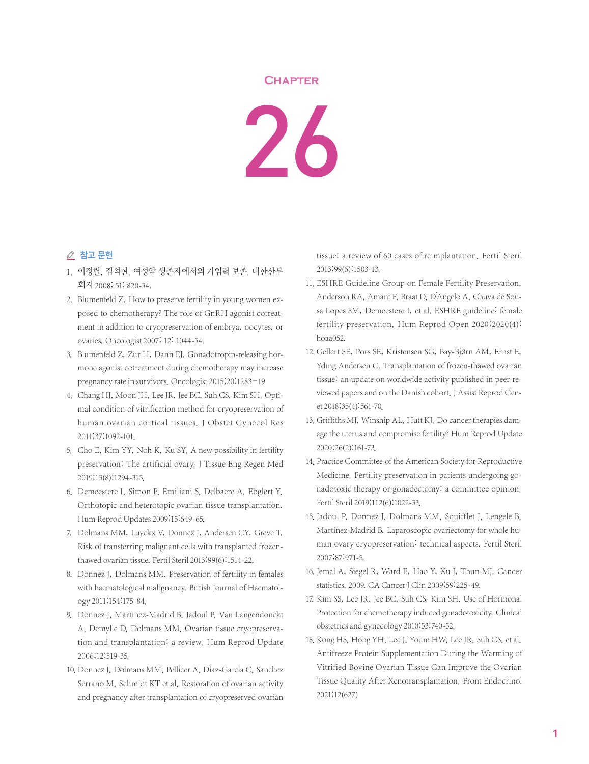## **Chapter**

26

## △ 참고 문헌

- 1. 이정렬, 김석현. 여성암 생존자에서의 가임력 보존. 대한산부 회지 2008; 51: 820-34.
- 2. Blumenfeld Z. How to preserve fertility in young women exposed to chemotherapy? The role of GnRH agonist cotreatment in addition to cryopreservation of embrya, oocytes, or ovaries. Oncologist 2007; 12: 1044-54.
- 3. Blumenfeld Z, Zur H, Dann EJ. Gonadotropin-releasing hormone agonist cotreatment during chemotherapy may increase pregnancy rate in survivors. Oncologist 2015;20:1283–19
- 4. Chang HJ, Moon JH, Lee JR, Jee BC, Suh CS, Kim SH. Optimal condition of vitrification method for cryopreservation of human ovarian cortical tissues. J Obstet Gynecol Res 2011;37:1092-101.
- 5. Cho E, Kim YY, Noh K, Ku SY. A new possibility in fertility preservation: The artificial ovary. J Tissue Eng Regen Med 2019;13(8):1294-315.
- 6. Demeestere I, Simon P, Emiliani S, Delbaere A, Ebglert Y. Orthotopic and heterotopic ovarian tissue transplantation. Hum Reprod Updates 2009;15:649-65.
- 7. Dolmans MM, Luyckx V, Donnez J, Andersen CY, Greve T. Risk of transferring malignant cells with transplanted frozenthawed ovarian tissue. Fertil Steril 2013;99(6):1514-22.
- 8. Donnez J, Dolmans MM. Preservation of fertility in females with haematological malignancy. British Journal of Haematology 2011;154:175-84.
- 9. Donnez J, Martinez-Madrid B, Jadoul P, Van Langendonckt A, Demylle D, Dolmans MM. Ovarian tissue cryopreservation and transplantation: a review. Hum Reprod Update 2006;12:519-35.
- 10. Donnez J, Dolmans MM, Pellicer A, Diaz-Garcia C, Sanchez Serrano M, Schmidt KT et al. Restoration of ovarian activity and pregnancy after transplantation of cryopreserved ovarian

tissue: a review of 60 cases of reimplantation. Fertil Steril 2013;99(6):1503-13.

- 11. ESHRE Guideline Group on Female Fertility Preservation, Anderson RA, Amant F, Braat D, D'Angelo A, Chuva de Sousa Lopes SM, Demeestere I, et al. ESHRE guideline: female fertility preservation. Hum Reprod Open 2020;2020(4): hoaa052.
- 12. Gellert SE, Pors SE, Kristensen SG, Bay-Bjørn AM, Ernst E, Yding Andersen C. Transplantation of frozen-thawed ovarian tissue: an update on worldwide activity published in peer-reviewed papers and on the Danish cohort. J Assist Reprod Genet 2018;35(4):561-70.
- 13. Griffiths MJ, Winship AL, Hutt KJ. Do cancer therapies damage the uterus and compromise fertility? Hum Reprod Update 2020;26(2):161-73.
- 14. Practice Committee of the American Society for Reproductive Medicine. Fertility preservation in patients undergoing gonadotoxic therapy or gonadectomy: a committee opinion. Fertil Steril 2019;112(6):1022-33.
- 15. Jadoul P, Donnez J, Dolmans MM, Squifflet J, Lengele B, Martinez-Madrid B. Laparoscopic ovariectomy for whole human ovary cryopreservation: technical aspects. Fertil Steril 2007;87:971-5.
- 16. Jemal A, Siegel R, Ward E, Hao Y, Xu J, Thun MJ. Cancer statistics, 2009. CA Cancer J Clin 2009;59:225-49.
- 17. Kim SS, Lee JR, Jee BC, Suh CS, Kim SH. Use of Hormonal Protection for chemotherapy induced gonadotoxicity. Clinical obstetrics and gynecology 2010;53:740-52.
- 18. Kong HS, Hong YH, Lee J, Youm HW, Lee JR, Suh CS, et al. Antifreeze Protein Supplementation During the Warming of Vitrified Bovine Ovarian Tissue Can Improve the Ovarian Tissue Quality After Xenotransplantation. Front Endocrinol 2021;12(627)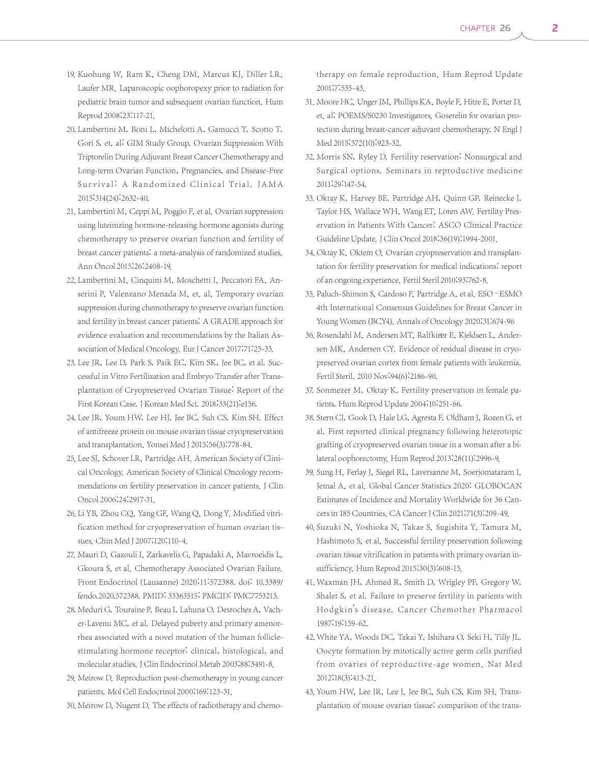- 19. Kuohung W, Ram K, Cheng DM, Marcus KJ, Diller LR, Laufer MR. Laparoscopic oophoropexy prior to radiation for pediatric brain tumor and subsequent ovarian function. Hum Reprod 2008;23:117-21.
- 20. Lambertini M, Boni L, Michelotti A, Gamucci T, Scotto T, Gori S, et. al; GIM Study Group. Ovarian Suppression With Triptorelin During Adjuvant Breast Cancer Chemotherapy and Long-term Ovarian Function, Pregnancies, and Disease-Free Survival: A Randomized Clinical Trial. JAMA 2015;314(24):2632-40.
- 21. Lambertini M, Ceppi M, Poggio F, et al. Ovarian suppression using luteinizing hormone-releasing hormone agonists during chemotherapy to preserve ovarian function and fertility of breast cancer patients: a meta-analysis of randomized studies. Ann Oncol 2015;26:2408-19.
- 22. Lambertini M, Cinquini M, Moschetti I, Peccatori FA, Anserini P, Valenzano Menada M, et. al, Temporary ovarian suppression during chemotherapy to preserve ovarian function and fertility in breast cancer patients: A GRADE approach for evidence evaluation and recommendations by the Italian Association of Medical Oncology. Eur J Cancer 2017;71:25-33.
- 23. Lee JR, Lee D, Park S, Paik EC, Kim SK, Jee BC, et al. Successful in Vitro Fertilization and Embryo Transfer after Transplantation of Cryopreserved Ovarian Tissue: Report of the First Korean Case.J Korean Med Sci. 2018;33(21):e156.
- 24. Lee JR, Youm HW, Lee HJ, Jee BC, Suh CS, Kim SH, Effect of antifreeze protein on mouse ovarian tissue cryopreservation and transplantation. Yonsei Med J 2015;56(3):778-84.
- 25. Lee SJ, Schover LR, Partridge AH. American Society of Clinical Oncology. American Society of Clinical Oncology recommendations on fertility preservation in cancer patients. J Clin Oncol 2006;24:2917-31.
- 26. Li YB, Zhou CQ, Yang GF, Wang Q, Dong Y. Modified vitrification method for cryopreservation of human ovarian tissues. Chin Med J 2007;120:110-4.
- 27. Mauri D, Gazouli I, Zarkavelis G, Papadaki A, Mavroeidis L, Gkoura S, et al. Chemotherapy Associated Ovarian Failure. Front Endocrinol (Lausanne) 2020;11:572388. doi: 10.3389/ fendo.2020.572388. PMID: 33363515; PMCID: PMC7753213.
- 28. Meduri G, Touraine P, Beau I, Lahuna O, Desroches A, Vacher-Lavenu MC, et al. Delayed puberty and primary amenorrhea associated with a novel mutation of the human folliclestimulating hormone receptor: clinical, histological, and molecular studies. J Clin Endocrinol Metab 2003;88:3491-8.
- 29. Meirow D. Reproduction post-chemotherapy in young cancer patients. Mol Cell Endocrinol 2000;169:123-31.
- 30. Meirow D, Nugent D. The effects of radiotherapy and chemo-

therapy on female reproduction. Hum Reprod Update 2001;7:535-43.

- 31. Moore HC, Unger JM, Phillips KA, Boyle F, Hitre E, Porter D, et. al; POEMS/S0230 Investigators. Goserelin for ovarian protection during breast-cancer adjuvant chemotherapy. N Engl J Med 2015;372(10):923-32.
- 32. Morris SN, Ryley D. Fertility reservation: Nonsurgical and Surgical options. Seminars in reproductive medicine 2011;29:147-54.
- 33. Oktay K, Harvey BE, Partridge AH, Quinn GP, Reinecke J, Taylor HS, Wallace WH, Wang ET, Loren AW. Fertility Preservation in Patients With Cancer: ASCO Clinical Practice Guideline Update.J Clin Oncol 2018;36(19):1994-2001.
- 34. Oktay K, Oktem O. Ovarian cryopreservation and transplantation for fertility preservation for medical indications: report of an ongoing experience. Fertil Steril 2010;93:762-8.
- 35. Paluch-Shimon S, Cardoso F, Partridge A, et al. ESO-ESMO 4th International Consensus Guidelines for Breast Cancer in Young Women (BCY4). Annals of Oncology 2020;31:674-96
- 36. Rosendahl M, Andersen MT, Ralfkiær E, Kjeldsen L, Andersen MK, Andersen CY. Evidence of residual disease in cryopreserved ovarian cortex from female patients with leukemia. Fertil Steril. 2010 Nov;94(6):2186-90.
- 37. Sonmezer M, Oktay K. Fertility preservation in female patients. Hum Reprod Update 2004;10:251-66.
- 38. Stern CJ, Gook D, Hale LG, Agresta F, Oldham J, Rozen G, et al. First reported clinical pregnancy following heterotopic grafting of cryopreserved ovarian tissue in a woman after a bilateral oophorectomy. Hum Reprod 2013;28(11):2996-9.
- 39. Sung H, Ferlay J, Siegel RL, Laversanne M, Soerjomataram I, Jemal A, et al. Global Cancer Statistics 2020: GLOBOCAN Estimates of Incidence and Mortality Worldwide for 36 Cancers in 185 Countries. CA Cancer J Clin 2021;71(3):209-49.
- 40. Suzuki N, Yoshioka N, Takae S, Sugishita Y, Tamura M, Hashimoto S, et al. Successful fertility preservation following ovarian tissue vitrification in patients with primary ovarian insufficiency. Hum Reprod 2015;30(3):608-15.
- 41. Waxman JH, Ahmed R, Smith D, Wrigley PF, Gregory W, Shalet S, et al. Failure to preserve fertility in patients with Hodgkin's disease. Cancer Chemother Pharmacol 1987;19:159-62.
- 42. White YA, Woods DC, Takai Y, Ishihara O, Seki H, Tilly JL. Oocyte formation by mitotically active germ cells purified from ovaries of reproductive-age women. Nat Med 2012;18(3):413-21.
- 43. Youm HW, Lee JR, Lee J, Jee BC, Suh CS, Kim SH. Transplantation of mouse ovarian tissue: comparison of the trans-